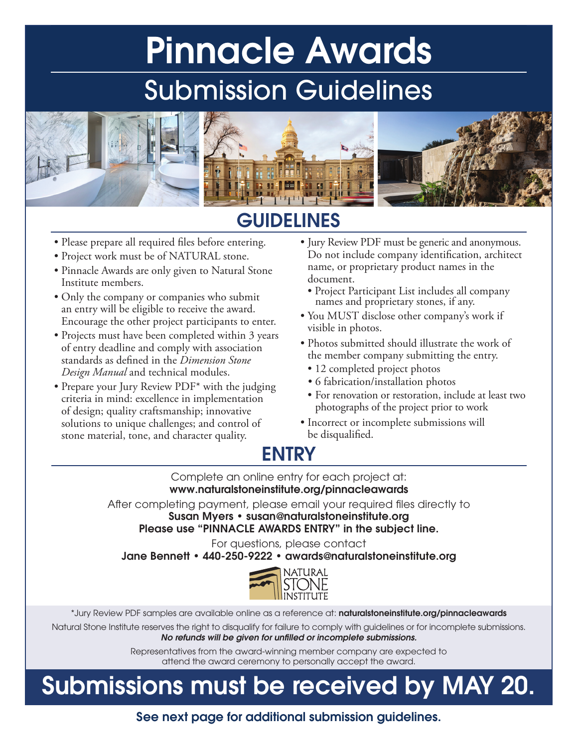# Pinnacle Awards Submission Guidelines



## **GUIDELINES**

- Please prepare all required files before entering.
- Project work must be of NATURAL stone.
- Pinnacle Awards are only given to Natural Stone Institute members.
- Only the company or companies who submit an entry will be eligible to receive the award. Encourage the other project participants to enter.
- Projects must have been completed within 3 years of entry deadline and comply with association standards as defined in the *Dimension Stone Design Manual* and technical modules.
- Prepare your Jury Review PDF<sup>\*</sup> with the judging criteria in mind: excellence in implementation of design; quality craftsmanship; innovative solutions to unique challenges; and control of stone material, tone, and character quality.
- Jury Review PDF must be generic and anonymous. Do not include company identification, architect name, or proprietary product names in the document.
	- Project Participant List includes all company names and proprietary stones, if any.
- You MUST disclose other company's work if visible in photos.
- Photos submitted should illustrate the work of the member company submitting the entry.
	- 12 completed project photos
	- 6 fabrication/installation photos
	- For renovation or restoration, include at least two photographs of the project prior to work
- Incorrect or incomplete submissions will be disqualified.

## ENTRY

Complete an online entry for each project at: www.naturalstoneinstitute.org/pinnacleawards

After completing payment, please email your required files directly to Susan Myers • susan@naturalstoneinstitute.org

Please use "PINNACLE AWARDS ENTRY" in the subject line.

For questions, please contact

Jane Bennett • 440-250-9222 • awards@naturalstoneinstitute.org



\*Jury Review PDF samples are available online as a reference at: naturalstoneinstitute.org/pinnacleawards

Natural Stone Institute reserves the right to disqualify for failure to comply with guidelines or for incomplete submissions. *No refunds will be given for unfilled or incomplete submissions.*

> Representatives from the award-winning member company are expected to attend the award ceremony to personally accept the award.

## Submissions must be received by MAY 20.

See next page for additional submission guidelines.